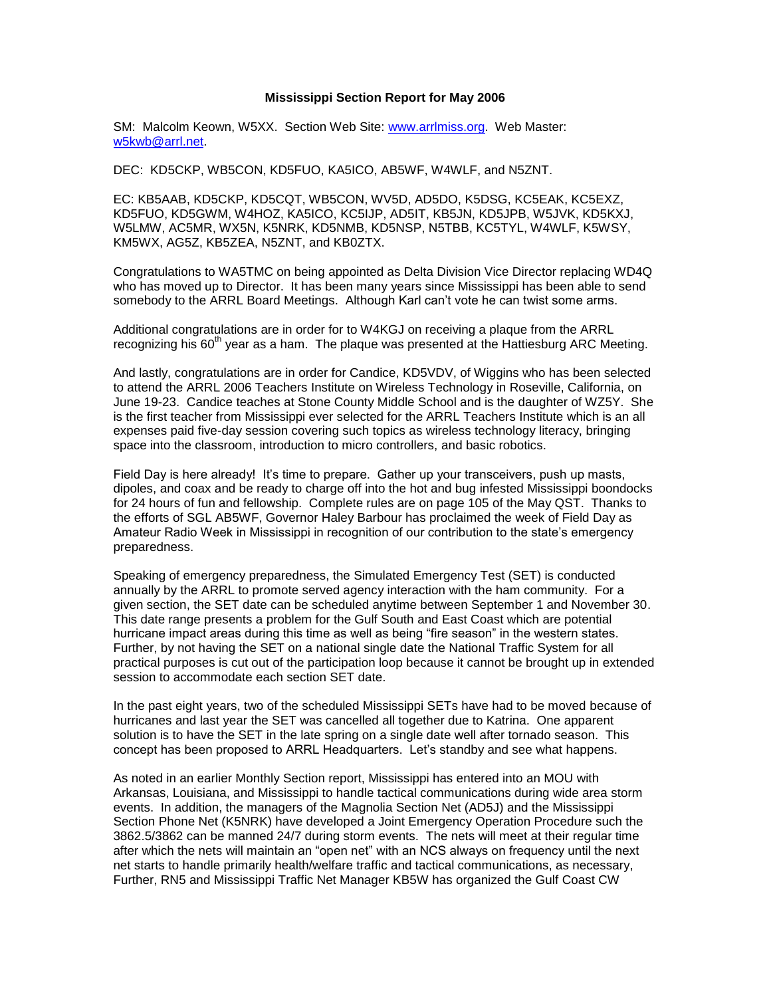## **Mississippi Section Report for May 2006**

SM: Malcolm Keown, W5XX. Section Web Site: [www.arrlmiss.org.](http://www.arrlmiss.org/) Web Master: [w5kwb@arrl.net.](mailto:w5kwb@arrl.net)

DEC: KD5CKP, WB5CON, KD5FUO, KA5ICO, AB5WF, W4WLF, and N5ZNT.

EC: KB5AAB, KD5CKP, KD5CQT, WB5CON, WV5D, AD5DO, K5DSG, KC5EAK, KC5EXZ, KD5FUO, KD5GWM, W4HOZ, KA5ICO, KC5IJP, AD5IT, KB5JN, KD5JPB, W5JVK, KD5KXJ, W5LMW, AC5MR, WX5N, K5NRK, KD5NMB, KD5NSP, N5TBB, KC5TYL, W4WLF, K5WSY, KM5WX, AG5Z, KB5ZEA, N5ZNT, and KB0ZTX.

Congratulations to WA5TMC on being appointed as Delta Division Vice Director replacing WD4Q who has moved up to Director. It has been many years since Mississippi has been able to send somebody to the ARRL Board Meetings. Although Karl can't vote he can twist some arms.

Additional congratulations are in order for to W4KGJ on receiving a plaque from the ARRL recognizing his  $60<sup>th</sup>$  year as a ham. The plaque was presented at the Hattiesburg ARC Meeting.

And lastly, congratulations are in order for Candice, KD5VDV, of Wiggins who has been selected to attend the ARRL 2006 Teachers Institute on Wireless Technology in Roseville, California, on June 19-23. Candice teaches at Stone County Middle School and is the daughter of WZ5Y. She is the first teacher from Mississippi ever selected for the ARRL Teachers Institute which is an all expenses paid five-day session covering such topics as wireless technology literacy, bringing space into the classroom, introduction to micro controllers, and basic robotics.

Field Day is here already! It's time to prepare. Gather up your transceivers, push up masts, dipoles, and coax and be ready to charge off into the hot and bug infested Mississippi boondocks for 24 hours of fun and fellowship. Complete rules are on page 105 of the May QST. Thanks to the efforts of SGL AB5WF, Governor Haley Barbour has proclaimed the week of Field Day as Amateur Radio Week in Mississippi in recognition of our contribution to the state's emergency preparedness.

Speaking of emergency preparedness, the Simulated Emergency Test (SET) is conducted annually by the ARRL to promote served agency interaction with the ham community. For a given section, the SET date can be scheduled anytime between September 1 and November 30. This date range presents a problem for the Gulf South and East Coast which are potential hurricane impact areas during this time as well as being "fire season" in the western states. Further, by not having the SET on a national single date the National Traffic System for all practical purposes is cut out of the participation loop because it cannot be brought up in extended session to accommodate each section SET date.

In the past eight years, two of the scheduled Mississippi SETs have had to be moved because of hurricanes and last year the SET was cancelled all together due to Katrina. One apparent solution is to have the SET in the late spring on a single date well after tornado season. This concept has been proposed to ARRL Headquarters. Let's standby and see what happens.

As noted in an earlier Monthly Section report, Mississippi has entered into an MOU with Arkansas, Louisiana, and Mississippi to handle tactical communications during wide area storm events. In addition, the managers of the Magnolia Section Net (AD5J) and the Mississippi Section Phone Net (K5NRK) have developed a Joint Emergency Operation Procedure such the 3862.5/3862 can be manned 24/7 during storm events. The nets will meet at their regular time after which the nets will maintain an "open net" with an NCS always on frequency until the next net starts to handle primarily health/welfare traffic and tactical communications, as necessary, Further, RN5 and Mississippi Traffic Net Manager KB5W has organized the Gulf Coast CW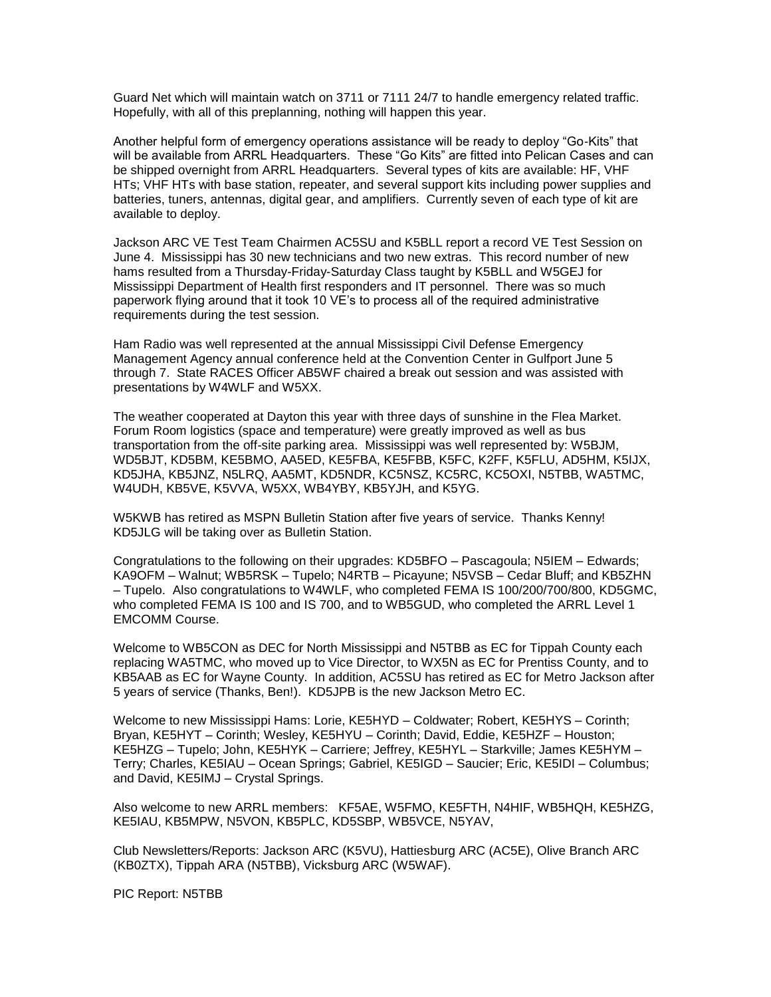Guard Net which will maintain watch on 3711 or 7111 24/7 to handle emergency related traffic. Hopefully, with all of this preplanning, nothing will happen this year.

Another helpful form of emergency operations assistance will be ready to deploy "Go-Kits" that will be available from ARRL Headquarters. These "Go Kits" are fitted into Pelican Cases and can be shipped overnight from ARRL Headquarters. Several types of kits are available: HF, VHF HTs; VHF HTs with base station, repeater, and several support kits including power supplies and batteries, tuners, antennas, digital gear, and amplifiers. Currently seven of each type of kit are available to deploy.

Jackson ARC VE Test Team Chairmen AC5SU and K5BLL report a record VE Test Session on June 4. Mississippi has 30 new technicians and two new extras. This record number of new hams resulted from a Thursday-Friday-Saturday Class taught by K5BLL and W5GEJ for Mississippi Department of Health first responders and IT personnel. There was so much paperwork flying around that it took 10 VE's to process all of the required administrative requirements during the test session.

Ham Radio was well represented at the annual Mississippi Civil Defense Emergency Management Agency annual conference held at the Convention Center in Gulfport June 5 through 7. State RACES Officer AB5WF chaired a break out session and was assisted with presentations by W4WLF and W5XX.

The weather cooperated at Dayton this year with three days of sunshine in the Flea Market. Forum Room logistics (space and temperature) were greatly improved as well as bus transportation from the off-site parking area. Mississippi was well represented by: W5BJM, WD5BJT, KD5BM, KE5BMO, AA5ED, KE5FBA, KE5FBB, K5FC, K2FF, K5FLU, AD5HM, K5IJX, KD5JHA, KB5JNZ, N5LRQ, AA5MT, KD5NDR, KC5NSZ, KC5RC, KC5OXI, N5TBB, WA5TMC, W4UDH, KB5VE, K5VVA, W5XX, WB4YBY, KB5YJH, and K5YG.

W5KWB has retired as MSPN Bulletin Station after five years of service. Thanks Kenny! KD5JLG will be taking over as Bulletin Station.

Congratulations to the following on their upgrades: KD5BFO – Pascagoula; N5IEM – Edwards; KA9OFM – Walnut; WB5RSK – Tupelo; N4RTB – Picayune; N5VSB – Cedar Bluff; and KB5ZHN – Tupelo. Also congratulations to W4WLF, who completed FEMA IS 100/200/700/800, KD5GMC, who completed FEMA IS 100 and IS 700, and to WB5GUD, who completed the ARRL Level 1 EMCOMM Course.

Welcome to WB5CON as DEC for North Mississippi and N5TBB as EC for Tippah County each replacing WA5TMC, who moved up to Vice Director, to WX5N as EC for Prentiss County, and to KB5AAB as EC for Wayne County. In addition, AC5SU has retired as EC for Metro Jackson after 5 years of service (Thanks, Ben!). KD5JPB is the new Jackson Metro EC.

Welcome to new Mississippi Hams: Lorie, KE5HYD – Coldwater; Robert, KE5HYS – Corinth; Bryan, KE5HYT – Corinth; Wesley, KE5HYU – Corinth; David, Eddie, KE5HZF – Houston; KE5HZG – Tupelo; John, KE5HYK – Carriere; Jeffrey, KE5HYL – Starkville; James KE5HYM – Terry; Charles, KE5IAU – Ocean Springs; Gabriel, KE5IGD – Saucier; Eric, KE5IDI – Columbus; and David, KE5IMJ – Crystal Springs.

Also welcome to new ARRL members: KF5AE, W5FMO, KE5FTH, N4HIF, WB5HQH, KE5HZG, KE5IAU, KB5MPW, N5VON, KB5PLC, KD5SBP, WB5VCE, N5YAV,

Club Newsletters/Reports: Jackson ARC (K5VU), Hattiesburg ARC (AC5E), Olive Branch ARC (KB0ZTX), Tippah ARA (N5TBB), Vicksburg ARC (W5WAF).

PIC Report: N5TBB